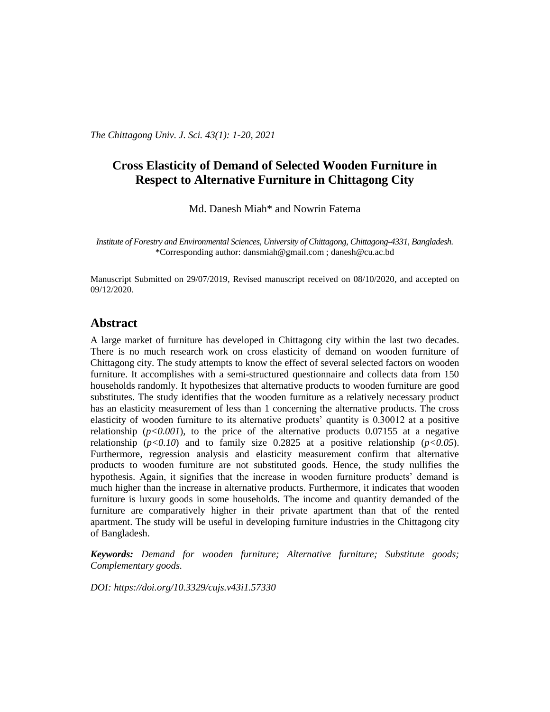*The Chittagong Univ. J. Sci. 43(1): 1-20, 2021*

# **Cross Elasticity of Demand of Selected Wooden Furniture in Respect to Alternative Furniture in Chittagong City**

Md. Danesh Miah\* and Nowrin Fatema

*Institute of Forestry and Environmental Sciences, University of Chittagong, Chittagong-4331, Bangladesh.* \*Corresponding author: dansmiah@gmail.com ; [danesh@cu.ac.bd](mailto:danesh@cu.ac.bd)

Manuscript Submitted on 29/07/2019, Revised manuscript received on 08/10/2020, and accepted on 09/12/2020.

## **Abstract**

A large market of furniture has developed in Chittagong city within the last two decades. There is no much research work on cross elasticity of demand on wooden furniture of Chittagong city. The study attempts to know the effect of several selected factors on wooden furniture. It accomplishes with a semi-structured questionnaire and collects data from 150 households randomly. It hypothesizes that alternative products to wooden furniture are good substitutes. The study identifies that the wooden furniture as a relatively necessary product has an elasticity measurement of less than 1 concerning the alternative products. The cross elasticity of wooden furniture to its alternative products' quantity is 0.30012 at a positive relationship  $(p<0.001)$ , to the price of the alternative products 0.07155 at a negative relationship  $(p<0.10)$  and to family size 0.2825 at a positive relationship  $(p<0.05)$ . Furthermore, regression analysis and elasticity measurement confirm that alternative products to wooden furniture are not substituted goods. Hence, the study nullifies the hypothesis. Again, it signifies that the increase in wooden furniture products' demand is much higher than the increase in alternative products. Furthermore, it indicates that wooden furniture is luxury goods in some households. The income and quantity demanded of the furniture are comparatively higher in their private apartment than that of the rented apartment. The study will be useful in developing furniture industries in the Chittagong city of Bangladesh.

*Keywords: Demand for wooden furniture; Alternative furniture; Substitute goods; Complementary goods.*

*DOI:<https://doi.org/10.3329/cujs.v43i1.57330>*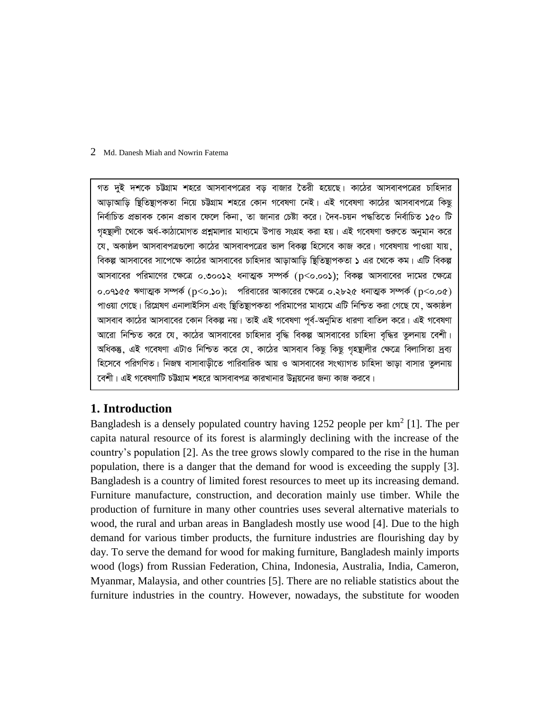গত দুই দশকে চউগ্রাম শহরে আসবাবপত্রের বড় বাজার তৈরী হয়েছে। কাঠের আসবাবপত্রের চাহিদার আড়াআড়ি ছিতিষ্থাপকতা নিয়ে চউগ্ৰাম শহরে কোন গবেষণা নেই। এই গবেষণা কাঠের আসবাবপত্রে কিছু নিৰ্বাচিত প্ৰভাবক কোন প্ৰভাব ফেলে কিনা, তা জানার চেষ্টা করে। দৈব-চয়ন পদ্ধতিতে নিৰ্বাচিত ১৫০ টি গহম্ভালী থেকে অৰ্ধ-কাঠামোগত প্ৰশ্নমালার মাধ্যমে উপাত্ত সংগ্ৰহ করা হয়। এই গবেষণা শুরুতে অনুমান করে যে, অকাষ্ঠল আসবাবপত্ৰগুলো কাঠের আসবাবপত্রের ভাল বিকল্প হিসেবে কাজ করে। গবেষণায় পাওয়া যায়, বিকল্প আসবাবের সাপেক্ষে কাঠের আসবাবের চাহিদার আড়াআড়ি ছিতিন্থাপকতা ১ এর থেকে কম। এটি বিকল্প আসবাবের পরিমাণের ক্ষেত্রে ০.৩০০১২ ধনাত্মক সম্পর্ক  $(p<$ ০.০০১); বিকল্প আসবাবের দামের ক্ষেত্রে ০.০৭১৫৫ ঋণাত্মক সম্পর্ক ( $p<$ ০.১০); পরিবারের আকারের ক্ষেত্রে ০.২৮২৫ ধনাত্মক সম্পর্ক ( $p<$ ০.০৫) পাওয়া গেছে। রিগ্রেষণ এনালাইসিস এবং ষ্টিতিষ্টাপকতা পরিমাপের মাধ্যমে এটি নিশ্চিত করা গেছে যে, অকাষ্ঠল আসবাব কাঠের আসবাবের কোন বিকল্প নয়। তাই এই গবেষণা পর্ব-অনুমিত ধারণা বাতিল করে। এই গবেষণা আরো নিশ্চিত করে যে, কাঠের আসবাবের চাহিদার বৃদ্ধি বিকল্প আসবাবের চাহিদা বদ্ধির তুলনায় বেশী। অধিকন্তু, এই গবেষণা এটাও নিশ্চিত করে যে, কাঠের আসবাব কিছু কিছু গৃহষ্থালীর ক্ষেত্রে বিলাসিতা দ্রব্য হিসেবে পরিগণিত। নিজম্ব বাসাবাড়ীতে পারিবারিক আয় ও আসবাবের সংখ্যাগত চাহিদা ভাড়া বাসার তুলনায় কেশী। এই গবেষণাটি চউগ্রাম শহরে আসবাবপত্র কারখানার উন্নয়নের জন্য কাজ করবে।

# **1. Introduction**

Bangladesh is a densely populated country having 1252 people per  $km^2$  [1]. The per capita natural resource of its forest is alarmingly declining with the increase of the country's population [2]. As the tree grows slowly compared to the rise in the human population, there is a danger that the demand for wood is exceeding the supply [3]. Bangladesh is a country of limited forest resources to meet up its increasing demand. Furniture manufacture, construction, and decoration mainly use timber. While the production of furniture in many other countries uses several alternative materials to wood, the rural and urban areas in Bangladesh mostly use wood [4]. Due to the high demand for various timber products, the furniture industries are flourishing day by day. To serve the demand for wood for making furniture, Bangladesh mainly imports wood (logs) from Russian Federation, China, Indonesia, Australia, India, Cameron, Myanmar, Malaysia, and other countries [5]. There are no reliable statistics about the furniture industries in the country. However, nowadays, the substitute for wooden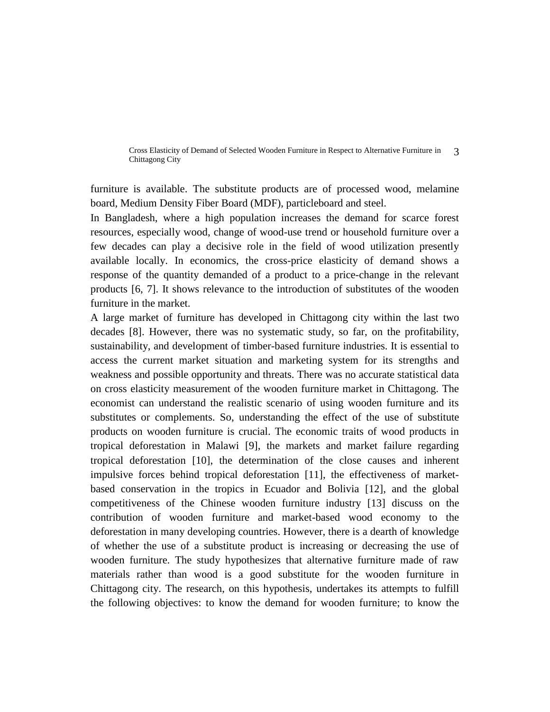furniture is available. The substitute products are of processed wood, melamine board, Medium Density Fiber Board (MDF), particleboard and steel.

In Bangladesh, where a high population increases the demand for scarce forest resources, especially wood, change of wood-use trend or household furniture over a few decades can play a decisive role in the field of wood utilization presently available locally. In economics, the cross-price elasticity of demand shows a response of the quantity demanded of a product to a price-change in the relevant products [6, 7]. It shows relevance to the introduction of substitutes of the wooden furniture in the market.

A large market of furniture has developed in Chittagong city within the last two decades [8]. However, there was no systematic study, so far, on the profitability, sustainability, and development of timber-based furniture industries. It is essential to access the current market situation and marketing system for its strengths and weakness and possible opportunity and threats. There was no accurate statistical data on cross elasticity measurement of the wooden furniture market in Chittagong. The economist can understand the realistic scenario of using wooden furniture and its substitutes or complements. So, understanding the effect of the use of substitute products on wooden furniture is crucial. The economic traits of wood products in tropical deforestation in Malawi [9], the markets and market failure regarding tropical deforestation [10], the determination of the close causes and inherent impulsive forces behind tropical deforestation [11], the effectiveness of marketbased conservation in the tropics in Ecuador and Bolivia [12], and the global competitiveness of the Chinese wooden furniture industry [13] discuss on the contribution of wooden furniture and market-based wood economy to the deforestation in many developing countries. However, there is a dearth of knowledge of whether the use of a substitute product is increasing or decreasing the use of wooden furniture. The study hypothesizes that alternative furniture made of raw materials rather than wood is a good substitute for the wooden furniture in Chittagong city. The research, on this hypothesis, undertakes its attempts to fulfill the following objectives: to know the demand for wooden furniture; to know the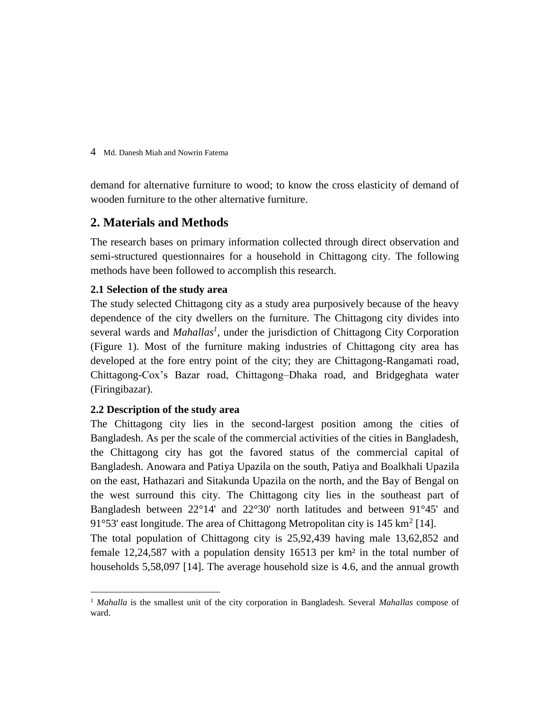demand for alternative furniture to wood; to know the cross elasticity of demand of wooden furniture to the other alternative furniture.

# **2. Materials and Methods**

The research bases on primary information collected through direct observation and semi-structured questionnaires for a household in Chittagong city. The following methods have been followed to accomplish this research.

## **2.1 Selection of the study area**

The study selected Chittagong city as a study area purposively because of the heavy dependence of the city dwellers on the furniture. The Chittagong city divides into several wards and *Mahallas<sup>1</sup>* , under the jurisdiction of Chittagong City Corporation (Figure 1). Most of the furniture making industries of Chittagong city area has developed at the fore entry point of the city; they are Chittagong-Rangamati road, Chittagong-Cox's Bazar road, Chittagong–Dhaka road, and Bridgeghata water (Firingibazar).

## **2.2 Description of the study area**

 $\overline{a}$ 

The Chittagong city lies in the second-largest position among the cities of Bangladesh. As per the scale of the commercial activities of the cities in Bangladesh, the Chittagong city has got the favored status of the commercial capital of Bangladesh. Anowara and Patiya Upazila on the south, Patiya and Boalkhali Upazila on the east, Hathazari and Sitakunda Upazila on the north, and the Bay of Bengal on the west surround this city. The Chittagong city lies in the southeast part of Bangladesh between 22°14' and 22°30' north latitudes and between 91°45' and 91°53' east longitude. The area of Chittagong Metropolitan city is  $145 \text{ km}^2$  [14].

The total population of Chittagong city is 25,92,439 having male 13,62,852 and female 12,24,587 with a population density 16513 per km² in the total number of households 5,58,097 [14]. The average household size is 4.6, and the annual growth

<sup>1</sup> *Mahalla* is the smallest unit of the city corporation in Bangladesh. Several *Mahallas* compose of ward.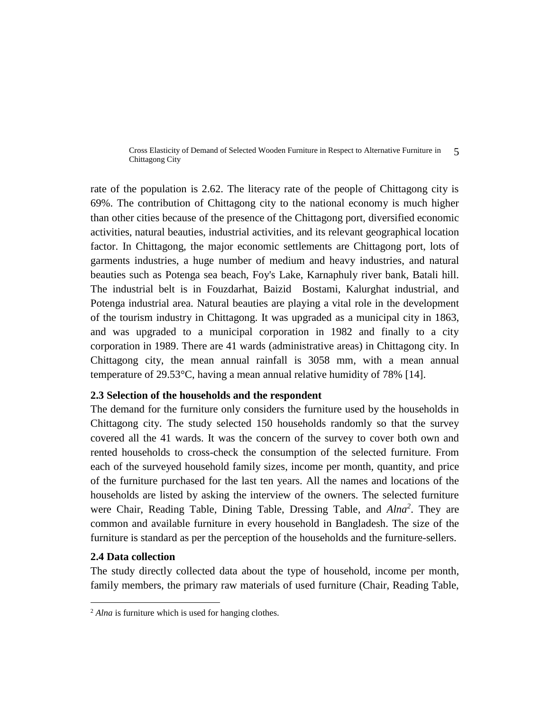rate of the population is 2.62. The literacy rate of the people of Chittagong city is 69%. The contribution of Chittagong city to the national economy is much higher than other cities because of the presence of the Chittagong port, diversified economic activities, natural beauties, industrial activities, and its relevant geographical location factor. In Chittagong, the major economic settlements are Chittagong port, lots of garments industries, a huge number of medium and heavy industries, and natural beauties such as Potenga sea beach, Foy's Lake, Karnaphuly river bank, Batali hill. The industrial belt is in Fouzdarhat, Baizid Bostami, Kalurghat industrial, and Potenga industrial area. Natural beauties are playing a vital role in the development of the tourism industry in Chittagong. It was upgraded as a municipal city in 1863, and was upgraded to a municipal corporation in 1982 and finally to a city corporation in 1989. There are 41 wards (administrative areas) in Chittagong city. In Chittagong city, the mean annual rainfall is 3058 mm, with a mean annual temperature of 29.53°C, having a mean annual relative humidity of 78% [14].

#### **2.3 Selection of the households and the respondent**

The demand for the furniture only considers the furniture used by the households in Chittagong city. The study selected 150 households randomly so that the survey covered all the 41 wards. It was the concern of the survey to cover both own and rented households to cross-check the consumption of the selected furniture. From each of the surveyed household family sizes, income per month, quantity, and price of the furniture purchased for the last ten years. All the names and locations of the households are listed by asking the interview of the owners. The selected furniture were Chair, Reading Table, Dining Table, Dressing Table, and *Alna<sup>2</sup>* . They are common and available furniture in every household in Bangladesh. The size of the furniture is standard as per the perception of the households and the furniture-sellers.

#### **2.4 Data collection**

 $\overline{a}$ 

The study directly collected data about the type of household, income per month, family members, the primary raw materials of used furniture (Chair, Reading Table,

<sup>&</sup>lt;sup>2</sup> *Alna* is furniture which is used for hanging clothes.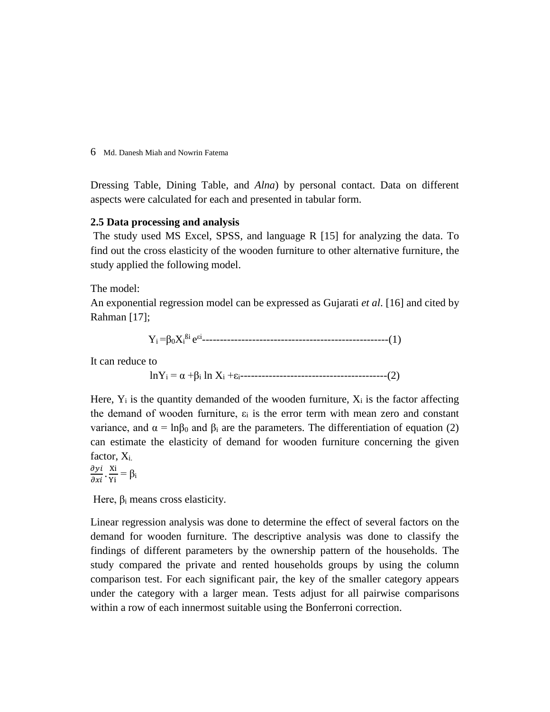Dressing Table, Dining Table, and *Alna*) by personal contact. Data on different aspects were calculated for each and presented in tabular form.

### **2.5 Data processing and analysis**

The study used MS Excel, SPSS, and language R [15] for analyzing the data. To find out the cross elasticity of the wooden furniture to other alternative furniture, the study applied the following model.

The model:

An exponential regression model can be expressed as Gujarati *et al*. [16] and cited by Rahman [17];

Yi =β0X<sup>i</sup> ßi e εi ----------------------------------------------------(1)

It can reduce to

lnY<sup>i</sup> = α +β<sup>i</sup> ln X<sup>i</sup> +εi-----------------------------------------(2)

Here,  $Y_i$  is the quantity demanded of the wooden furniture,  $X_i$  is the factor affecting the demand of wooden furniture,  $\varepsilon_i$  is the error term with mean zero and constant variance, and  $\alpha = \ln \beta_0$  and  $\beta_i$  are the parameters. The differentiation of equation (2) can estimate the elasticity of demand for wooden furniture concerning the given factor,  $X_i$ .

 $\frac{\partial y i}{\partial x i} \cdot \frac{\text{Xi}}{\text{Yi}}$  $\frac{\Delta I}{\text{Yi}} = \beta_i$ 

Here,  $\beta_i$  means cross elasticity.

Linear regression analysis was done to determine the effect of several factors on the demand for wooden furniture. The descriptive analysis was done to classify the findings of different parameters by the ownership pattern of the households. The study compared the private and rented households groups by using the column comparison test. For each significant pair, the key of the smaller category appears under the category with a larger mean. Tests adjust for all pairwise comparisons within a row of each innermost suitable using the Bonferroni correction.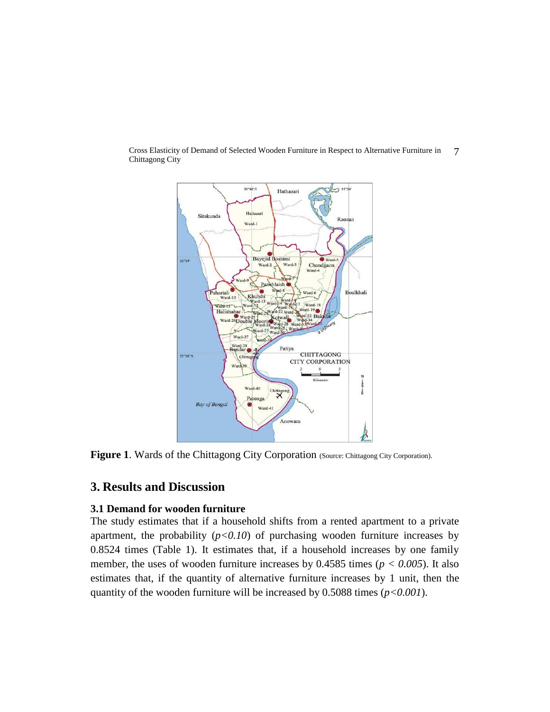

Figure 1. Wards of the Chittagong City Corporation (Source: Chittagong City Corporation).

# **3. Results and Discussion**

### **3.1 Demand for wooden furniture**

The study estimates that if a household shifts from a rented apartment to a private apartment, the probability  $(p<0.10)$  of purchasing wooden furniture increases by 0.8524 times (Table 1). It estimates that, if a household increases by one family member, the uses of wooden furniture increases by 0.4585 times (*p < 0.005*). It also estimates that, if the quantity of alternative furniture increases by 1 unit, then the quantity of the wooden furniture will be increased by 0.5088 times (*p<0.001*).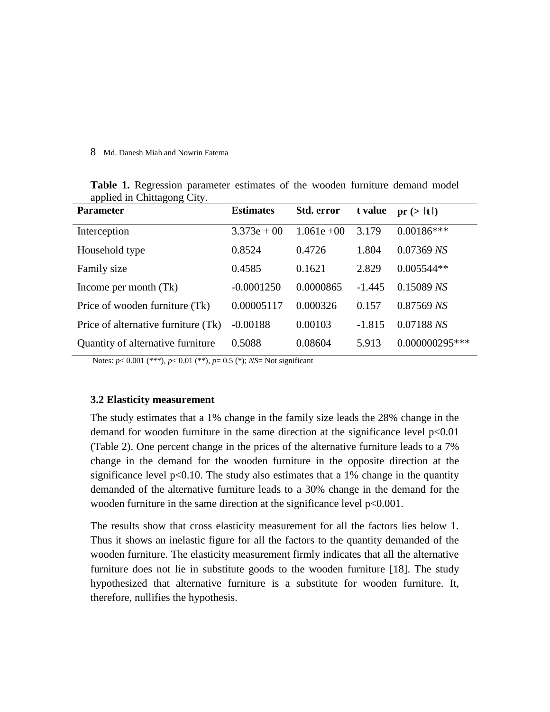| <b>Parameter</b>                    | <b>Estimates</b> | Std. error    | t value  | pr(> t )         |
|-------------------------------------|------------------|---------------|----------|------------------|
| Interception                        | $3.373e + 00$    | $1.061e + 00$ | 3.179    | $0.00186***$     |
| Household type                      | 0.8524           | 0.4726        | 1.804    | $0.07369$ NS     |
| Family size                         | 0.4585           | 0.1621        | 2.829    | $0.005544**$     |
| Income per month (Tk)               | $-0.0001250$     | 0.0000865     | $-1.445$ | $0.15089$ NS     |
| Price of wooden furniture (Tk)      | 0.00005117       | 0.000326      | 0.157    | $0.87569$ NS     |
| Price of alternative furniture (Tk) | $-0.00188$       | 0.00103       | $-1.815$ | 0.07188 NS       |
| Quantity of alternative furniture   | 0.5088           | 0.08604       | 5.913    | $0.000000295***$ |

**Table 1.** Regression parameter estimates of the wooden furniture demand model applied in Chittagong City.

Notes: *p*< 0.001 (\*\*\*), *p*< 0.01 (\*\*), *p*= 0.5 (\*); *NS*= Not significant

### **3.2 Elasticity measurement**

The study estimates that a 1% change in the family size leads the 28% change in the demand for wooden furniture in the same direction at the significance level  $p<0.01$ (Table 2). One percent change in the prices of the alternative furniture leads to a 7% change in the demand for the wooden furniture in the opposite direction at the significance level  $p<0.10$ . The study also estimates that a 1% change in the quantity demanded of the alternative furniture leads to a 30% change in the demand for the wooden furniture in the same direction at the significance level  $p<0.001$ .

The results show that cross elasticity measurement for all the factors lies below 1. Thus it shows an inelastic figure for all the factors to the quantity demanded of the wooden furniture. The elasticity measurement firmly indicates that all the alternative furniture does not lie in substitute goods to the wooden furniture [18]. The study hypothesized that alternative furniture is a substitute for wooden furniture. It, therefore, nullifies the hypothesis.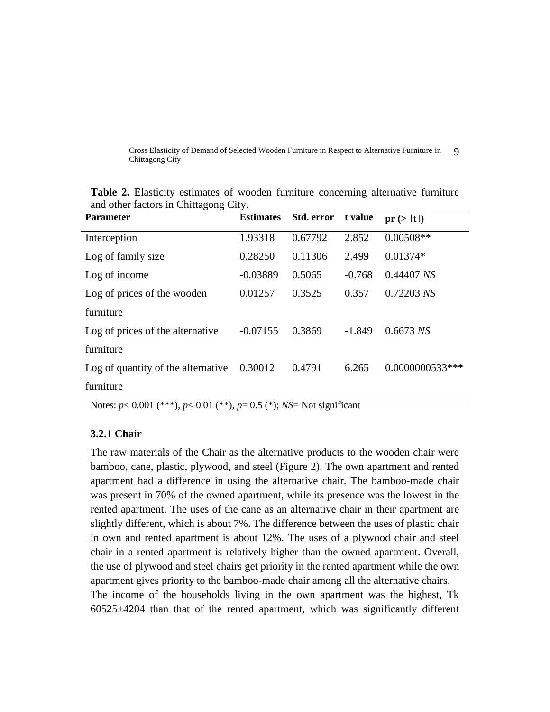| <b>Parameter</b>                   | <b>Estimates</b> | Std. error | t value  | pr(> t )        |
|------------------------------------|------------------|------------|----------|-----------------|
| Interception                       | 1.93318          | 0.67792    | 2.852    | $0.00508**$     |
| Log of family size                 | 0.28250          | 0.11306    | 2.499    | $0.01374*$      |
| Log of income                      | $-0.03889$       | 0.5065     | $-0.768$ | 0.44407 NS      |
| Log of prices of the wooden        | 0.01257          | 0.3525     | 0.357    | 0.72203 NS      |
| furniture                          |                  |            |          |                 |
| Log of prices of the alternative   | $-0.07155$       | 0.3869     | $-1.849$ | $0.6673$ NS     |
| furniture                          |                  |            |          |                 |
| Log of quantity of the alternative | 0.30012          | 0.4791     | 6.265    | 0.0000000533*** |
| furniture                          |                  |            |          |                 |

**Table 2.** Elasticity estimates of wooden furniture concerning alternative furniture and other factors in Chittagong City.

Notes: *p*< 0.001 (\*\*\*), *p*< 0.01 (\*\*), *p*= 0.5 (\*); *NS*= Not significant

### **3.2.1 Chair**

The raw materials of the Chair as the alternative products to the wooden chair were bamboo, cane, plastic, plywood, and steel (Figure 2). The own apartment and rented apartment had a difference in using the alternative chair. The bamboo-made chair was present in 70% of the owned apartment, while its presence was the lowest in the rented apartment. The uses of the cane as an alternative chair in their apartment are slightly different, which is about 7%. The difference between the uses of plastic chair in own and rented apartment is about 12%. The uses of a plywood chair and steel chair in a rented apartment is relatively higher than the owned apartment. Overall, the use of plywood and steel chairs get priority in the rented apartment while the own apartment gives priority to the bamboo-made chair among all the alternative chairs. The income of the households living in the own apartment was the highest, Tk 60525±4204 than that of the rented apartment, which was significantly different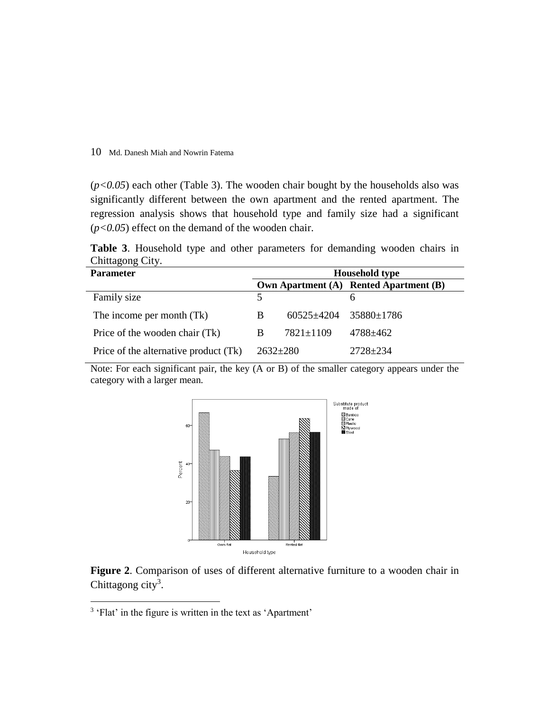(*p<0.05*) each other (Table 3). The wooden chair bought by the households also was significantly different between the own apartment and the rented apartment. The regression analysis shows that household type and family size had a significant (*p<0.05*) effect on the demand of the wooden chair.

**Table 3**. Household type and other parameters for demanding wooden chairs in Chittagong City.

| <b>Parameter</b>                      | <b>Household type</b> |                                   |                                        |
|---------------------------------------|-----------------------|-----------------------------------|----------------------------------------|
|                                       |                       |                                   | Own Apartment (A) Rented Apartment (B) |
| Family size                           | 5                     |                                   | h                                      |
| The income per month (Tk)             | B                     | $60525 \pm 4204$ 35880 $\pm$ 1786 |                                        |
| Price of the wooden chair (Tk)        | B                     | $7821 \pm 1109$                   | 4788±462                               |
| Price of the alternative product (Tk) | $2632 \pm 280$        |                                   | $2728 + 234$                           |

Note: For each significant pair, the key (A or B) of the smaller category appears under the category with a larger mean.



**Figure 2**. Comparison of uses of different alternative furniture to a wooden chair in Chittagong city<sup>3</sup>.

 $\overline{a}$ 

<sup>&</sup>lt;sup>3</sup> 'Flat' in the figure is written in the text as 'Apartment'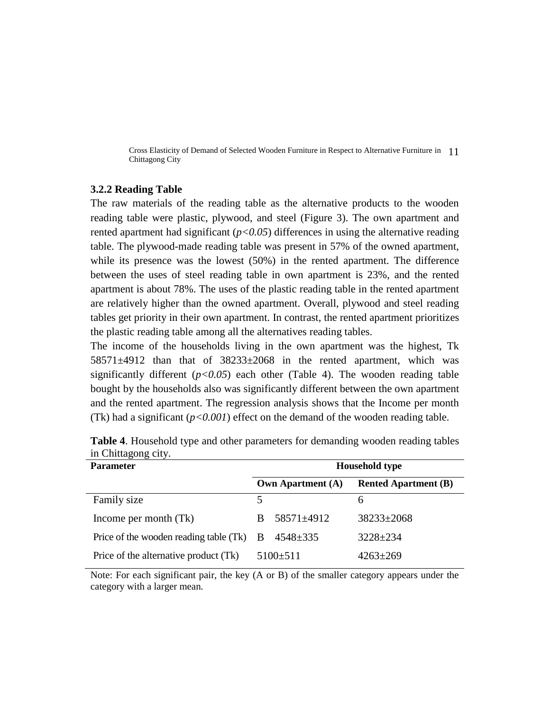#### **3.2.2 Reading Table**

The raw materials of the reading table as the alternative products to the wooden reading table were plastic, plywood, and steel (Figure 3). The own apartment and rented apartment had significant  $(p<0.05)$  differences in using the alternative reading table. The plywood-made reading table was present in 57% of the owned apartment, while its presence was the lowest (50%) in the rented apartment. The difference between the uses of steel reading table in own apartment is 23%, and the rented apartment is about 78%. The uses of the plastic reading table in the rented apartment are relatively higher than the owned apartment. Overall, plywood and steel reading tables get priority in their own apartment. In contrast, the rented apartment prioritizes the plastic reading table among all the alternatives reading tables.

The income of the households living in the own apartment was the highest, Tk  $58571\pm4912$  than that of  $38233\pm2068$  in the rented apartment, which was significantly different  $(p<0.05)$  each other (Table 4). The wooden reading table bought by the households also was significantly different between the own apartment and the rented apartment. The regression analysis shows that the Income per month (Tk) had a significant  $(p<0.001)$  effect on the demand of the wooden reading table.

| <b>Parameter</b>                           | <b>Household type</b> |                          |                             |
|--------------------------------------------|-----------------------|--------------------------|-----------------------------|
|                                            |                       | <b>Own Apartment (A)</b> | <b>Rented Apartment (B)</b> |
| Family size                                | 5.                    |                          | 6                           |
| Income per month (Tk)                      |                       | 58571±4912               | $38233 \pm 2068$            |
| Price of the wooden reading table $(Tk)$ B |                       | $4548 \pm 335$           | $3228 \pm 234$              |
| Price of the alternative product (Tk)      |                       | $5100 \pm 511$           | $4263 \pm 269$              |

**Table 4**. Household type and other parameters for demanding wooden reading tables in Chittagong city.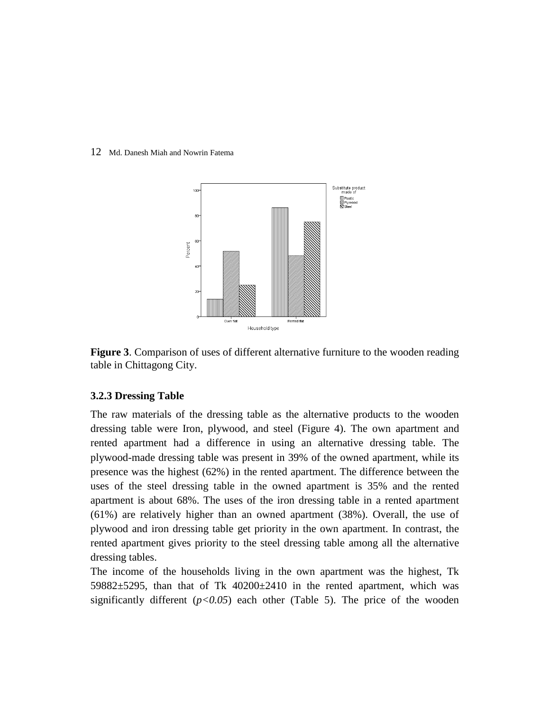

**Figure 3**. Comparison of uses of different alternative furniture to the wooden reading table in Chittagong City.

### **3.2.3 Dressing Table**

The raw materials of the dressing table as the alternative products to the wooden dressing table were Iron, plywood, and steel (Figure 4). The own apartment and rented apartment had a difference in using an alternative dressing table. The plywood-made dressing table was present in 39% of the owned apartment, while its presence was the highest (62%) in the rented apartment. The difference between the uses of the steel dressing table in the owned apartment is 35% and the rented apartment is about 68%. The uses of the iron dressing table in a rented apartment (61%) are relatively higher than an owned apartment (38%). Overall, the use of plywood and iron dressing table get priority in the own apartment. In contrast, the rented apartment gives priority to the steel dressing table among all the alternative dressing tables.

The income of the households living in the own apartment was the highest, Tk 59882±5295, than that of Tk 40200±2410 in the rented apartment, which was significantly different  $(p<0.05)$  each other (Table 5). The price of the wooden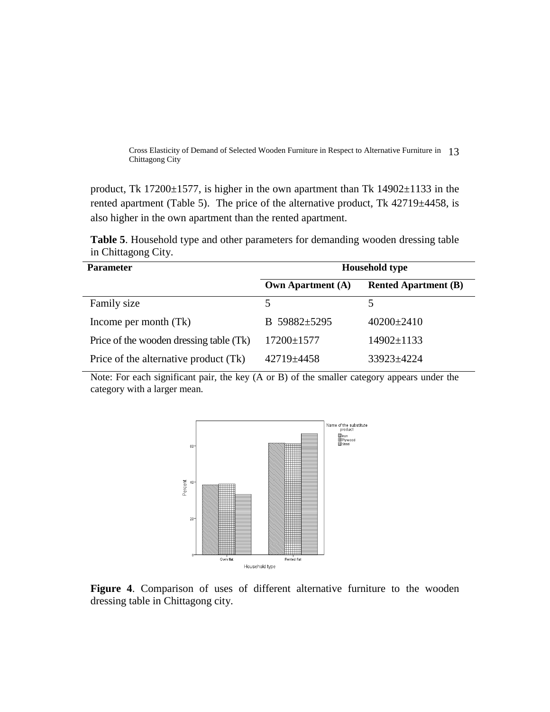product, Tk 17200 $\pm$ 1577, is higher in the own apartment than Tk 14902 $\pm$ 1133 in the rented apartment (Table 5). The price of the alternative product, Tk  $42719 \pm 4458$ , is also higher in the own apartment than the rented apartment.

**Table 5**. Household type and other parameters for demanding wooden dressing table in Chittagong City.

| <b>Parameter</b>                        | <b>Household type</b>    |                             |  |
|-----------------------------------------|--------------------------|-----------------------------|--|
|                                         | <b>Own Apartment (A)</b> | <b>Rented Apartment (B)</b> |  |
| Family size                             |                          |                             |  |
| Income per month (Tk)                   | B 59882±5295             | $40200 \pm 2410$            |  |
| Price of the wooden dressing table (Tk) | 17200±1577               | 14902±1133                  |  |
| Price of the alternative product (Tk)   | $42719 + 4458$           | 33923±4224                  |  |



**Figure 4**. Comparison of uses of different alternative furniture to the wooden dressing table in Chittagong city.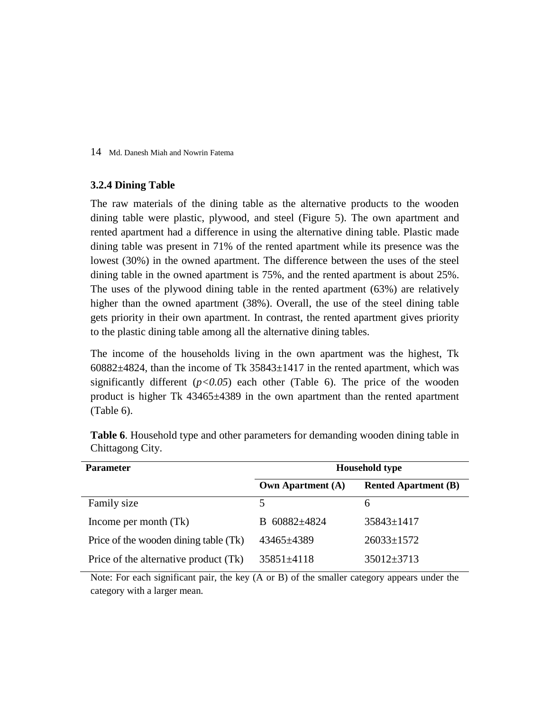### **3.2.4 Dining Table**

The raw materials of the dining table as the alternative products to the wooden dining table were plastic, plywood, and steel (Figure 5). The own apartment and rented apartment had a difference in using the alternative dining table. Plastic made dining table was present in 71% of the rented apartment while its presence was the lowest (30%) in the owned apartment. The difference between the uses of the steel dining table in the owned apartment is 75%, and the rented apartment is about 25%. The uses of the plywood dining table in the rented apartment (63%) are relatively higher than the owned apartment (38%). Overall, the use of the steel dining table gets priority in their own apartment. In contrast, the rented apartment gives priority to the plastic dining table among all the alternative dining tables.

The income of the households living in the own apartment was the highest, Tk  $60882\pm4824$ , than the income of Tk  $35843\pm1417$  in the rented apartment, which was significantly different  $(p<0.05)$  each other (Table 6). The price of the wooden product is higher Tk 43465±4389 in the own apartment than the rented apartment (Table 6).

| <b>Parameter</b>                      | <b>Household type</b>    |                             |  |  |
|---------------------------------------|--------------------------|-----------------------------|--|--|
|                                       | <b>Own Apartment (A)</b> | <b>Rented Apartment (B)</b> |  |  |
| Family size                           | 5                        | 6                           |  |  |
| Income per month (Tk)                 | B 60882±4824             | $35843 \pm 1417$            |  |  |
| Price of the wooden dining table (Tk) | 43465±4389               | $26033 \pm 1572$            |  |  |
| Price of the alternative product (Tk) | 35851±4118               | $35012 \pm 3713$            |  |  |

**Table 6**. Household type and other parameters for demanding wooden dining table in Chittagong City.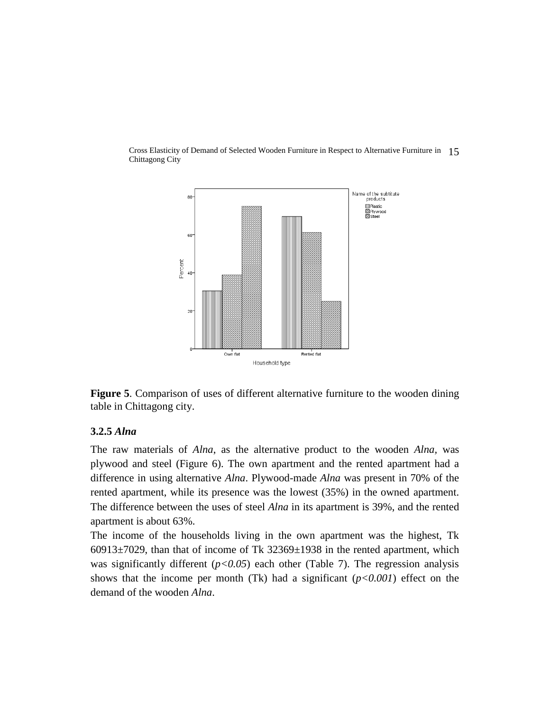

**Figure 5**. Comparison of uses of different alternative furniture to the wooden dining table in Chittagong city.

## **3.2.5** *Alna*

The raw materials of *Alna*, as the alternative product to the wooden *Alna,* was plywood and steel (Figure 6). The own apartment and the rented apartment had a difference in using alternative *Alna*. Plywood-made *Alna* was present in 70% of the rented apartment, while its presence was the lowest (35%) in the owned apartment. The difference between the uses of steel *Alna* in its apartment is 39%, and the rented apartment is about 63%.

The income of the households living in the own apartment was the highest, Tk  $60913\pm7029$ , than that of income of Tk  $32369\pm1938$  in the rented apartment, which was significantly different  $(p<0.05)$  each other (Table 7). The regression analysis shows that the income per month (Tk) had a significant (*p<0.001*) effect on the demand of the wooden *Alna*.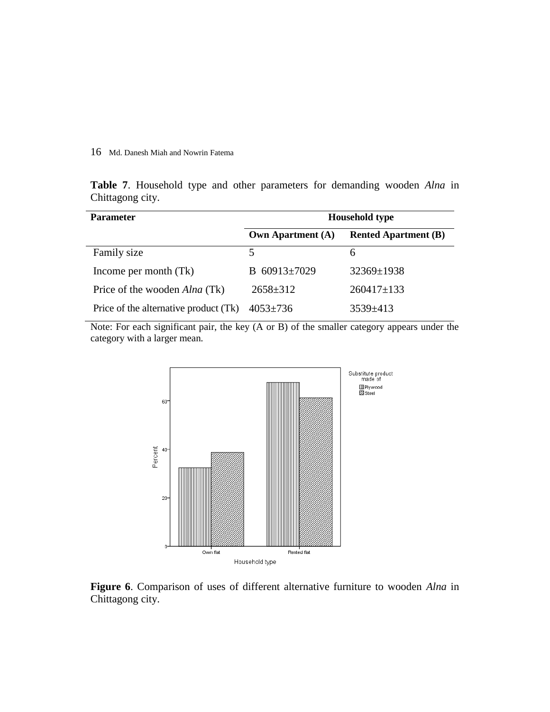**Table 7**. Household type and other parameters for demanding wooden *Alna* in Chittagong city.

| <b>Parameter</b>                      | <b>Household type</b>    |                             |  |
|---------------------------------------|--------------------------|-----------------------------|--|
|                                       | <b>Own Apartment (A)</b> | <b>Rented Apartment (B)</b> |  |
| Family size                           |                          | h                           |  |
| Income per month (Tk)                 | B $60913 \pm 7029$       | $32369 \pm 1938$            |  |
| Price of the wooden <i>Alna</i> (Tk)  | $2658 \pm 312$           | $260417 \pm 133$            |  |
| Price of the alternative product (Tk) | $4053 \pm 736$           | $3539 \pm 413$              |  |



**Figure 6**. Comparison of uses of different alternative furniture to wooden *Alna* in Chittagong city.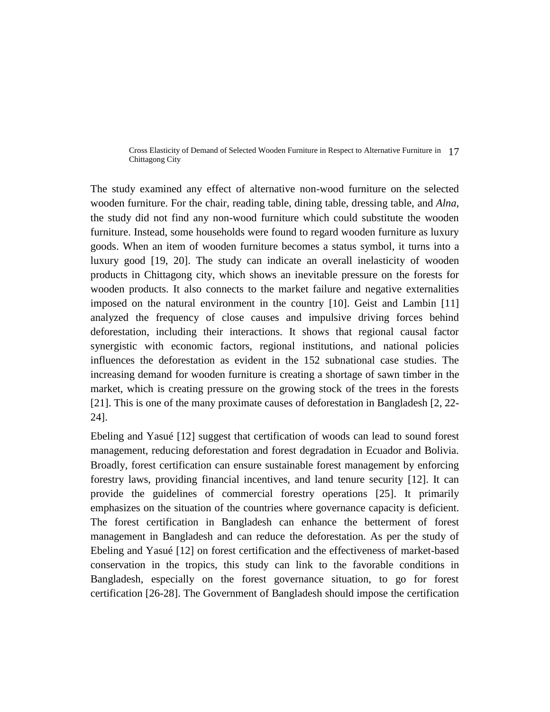The study examined any effect of alternative non-wood furniture on the selected wooden furniture. For the chair, reading table, dining table, dressing table, and *Alna*, the study did not find any non-wood furniture which could substitute the wooden furniture. Instead, some households were found to regard wooden furniture as luxury goods. When an item of wooden furniture becomes a status symbol, it turns into a luxury good [19, 20]. The study can indicate an overall inelasticity of wooden products in Chittagong city, which shows an inevitable pressure on the forests for wooden products. It also connects to the market failure and negative externalities imposed on the natural environment in the country [10]. Geist and Lambin [11] analyzed the frequency of close causes and impulsive driving forces behind deforestation, including their interactions. It shows that regional causal factor synergistic with economic factors, regional institutions, and national policies influences the deforestation as evident in the 152 subnational case studies. The increasing demand for wooden furniture is creating a shortage of sawn timber in the market, which is creating pressure on the growing stock of the trees in the forests [21]. This is one of the many proximate causes of deforestation in Bangladesh [2, 22- 24].

Ebeling and Yasué [12] suggest that certification of woods can lead to sound forest management, reducing deforestation and forest degradation in Ecuador and Bolivia. Broadly, forest certification can ensure sustainable forest management by enforcing forestry laws, providing financial incentives, and land tenure security [12]. It can provide the guidelines of commercial forestry operations [25]. It primarily emphasizes on the situation of the countries where governance capacity is deficient. The forest certification in Bangladesh can enhance the betterment of forest management in Bangladesh and can reduce the deforestation. As per the study of Ebeling and Yasué [12] on forest certification and the effectiveness of market-based conservation in the tropics, this study can link to the favorable conditions in Bangladesh, especially on the forest governance situation, to go for forest certification [26-28]. The Government of Bangladesh should impose the certification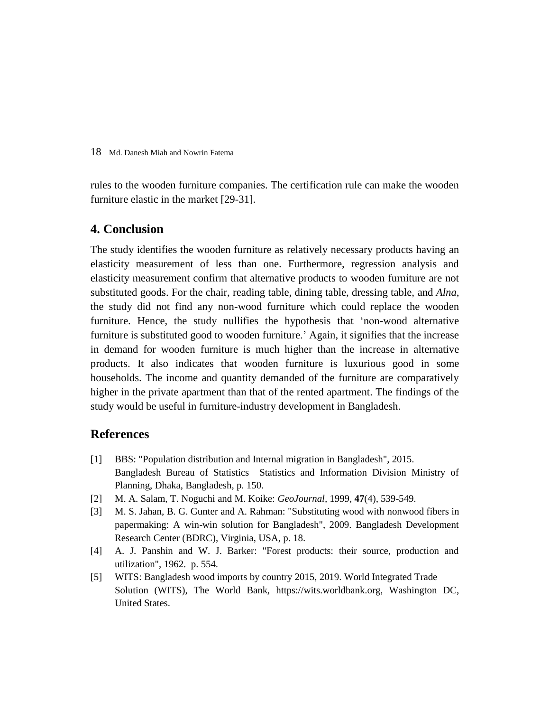rules to the wooden furniture companies. The certification rule can make the wooden furniture elastic in the market [29-31].

# **4. Conclusion**

The study identifies the wooden furniture as relatively necessary products having an elasticity measurement of less than one. Furthermore, regression analysis and elasticity measurement confirm that alternative products to wooden furniture are not substituted goods. For the chair, reading table, dining table, dressing table, and *Alna*, the study did not find any non-wood furniture which could replace the wooden furniture. Hence, the study nullifies the hypothesis that 'non-wood alternative furniture is substituted good to wooden furniture.' Again, it signifies that the increase in demand for wooden furniture is much higher than the increase in alternative products. It also indicates that wooden furniture is luxurious good in some households. The income and quantity demanded of the furniture are comparatively higher in the private apartment than that of the rented apartment. The findings of the study would be useful in furniture-industry development in Bangladesh.

## **References**

- [1] BBS: "Population distribution and Internal migration in Bangladesh", 2015. Bangladesh Bureau of Statistics Statistics and Information Division Ministry of Planning, Dhaka, Bangladesh, p. 150.
- [2] M. A. Salam, T. Noguchi and M. Koike: *GeoJournal,* 1999, **47**(4), 539-549.
- [3] M. S. Jahan, B. G. Gunter and A. Rahman: "Substituting wood with nonwood fibers in papermaking: A win-win solution for Bangladesh", 2009. Bangladesh Development Research Center (BDRC), Virginia, USA, p. 18.
- [4] A. J. Panshin and W. J. Barker: "Forest products: their source, production and utilization", 1962. p. 554.
- [5] WITS: Bangladesh wood imports by country 2015, 2019. World Integrated Trade Solution (WITS), The World Bank, [https://wits.worldbank.org,](https://wits.worldbank.org/) Washington DC, United States.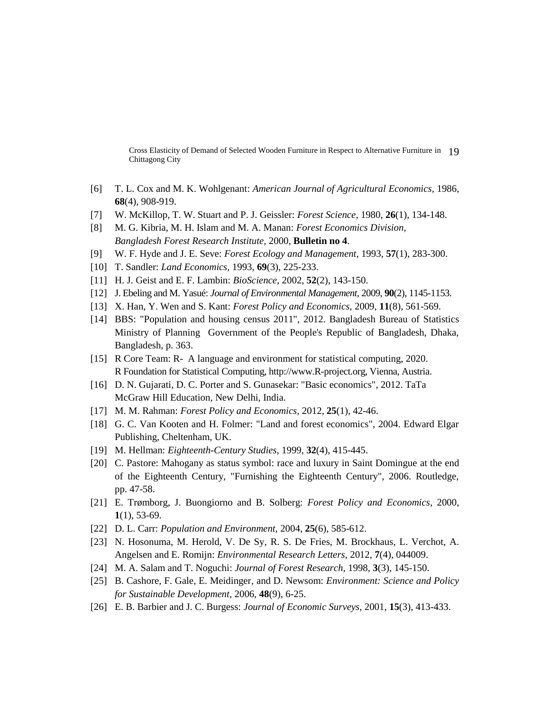- [6] T. L. Cox and M. K. Wohlgenant: *American Journal of Agricultural Economics,* 1986, **68**(4), 908-919.
- [7] W. McKillop, T. W. Stuart and P. J. Geissler: *Forest Science,* 1980, **26**(1), 134-148.
- [8] M. G. Kibria, M. H. Islam and M. A. Manan: *Forest Economics Division, Bangladesh Forest Research Institute,* 2000, **Bulletin no 4**.
- [9] W. F. Hyde and J. E. Seve: *Forest Ecology and Management,* 1993, **57**(1), 283-300.
- [10] T. Sandler: *Land Economics,* 1993, **69**(3), 225-233.
- [11] H. J. Geist and E. F. Lambin: *BioScience,* 2002, **52**(2), 143-150.
- [12] J. Ebeling and M. Yasué: *Journal of Environmental Management,* 2009, **90**(2), 1145-1153.
- [13] X. Han, Y. Wen and S. Kant: *Forest Policy and Economics,* 2009, **11**(8), 561-569.
- [14] BBS: "Population and housing census 2011", 2012. Bangladesh Bureau of Statistics Ministry of Planning Government of the People's Republic of Bangladesh, Dhaka, Bangladesh, p. 363.
- [15] R Core Team: R- A language and environment for statistical computing, 2020. R Foundation for Statistical Computing[, http://www.R-project.org,](http://www.r-project.org/) Vienna, Austria.
- [16] D. N. Gujarati, D. C. Porter and S. Gunasekar: "Basic economics", 2012. TaTa McGraw Hill Education, New Delhi, India.
- [17] M. M. Rahman: *Forest Policy and Economics,* 2012, **25**(1), 42-46.
- [18] G. C. Van Kooten and H. Folmer: "Land and forest economics", 2004. Edward Elgar Publishing, Cheltenham, UK.
- [19] M. Hellman: *Eighteenth-Century Studies,* 1999, **32**(4), 415-445.
- [20] C. Pastore: Mahogany as status symbol: race and luxury in Saint Domingue at the end of the Eighteenth Century, "Furnishing the Eighteenth Century", 2006. Routledge, pp. 47-58.
- [21] E. Trømborg, J. Buongiorno and B. Solberg: *Forest Policy and Economics,* 2000, **1**(1), 53-69.
- [22] D. L. Carr: *Population and Environment,* 2004, **25**(6), 585-612.
- [23] N. Hosonuma, M. Herold, V. De Sy*,* R. S. De Fries, M. Brockhaus, L. Verchot, A. Angelsen and E. Romijn: *Environmental Research Letters,* 2012, **7**(4), 044009.
- [24] M. A. Salam and T. Noguchi: *Journal of Forest Research,* 1998, **3**(3), 145-150.
- [25] B. Cashore, F. Gale, E. Meidinger*,* and D. Newsom: *Environment: Science and Policy for Sustainable Development,* 2006, **48**(9), 6-25.
- [26] E. B. Barbier and J. C. Burgess: *Journal of Economic Surveys,* 2001, **15**(3), 413-433.